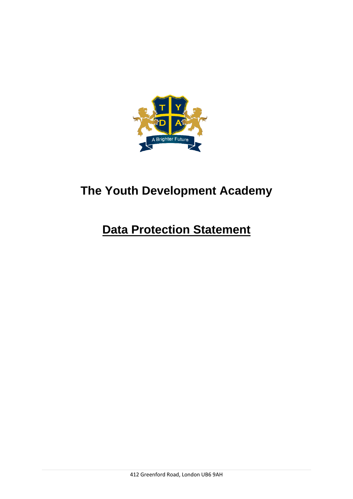

## **The Youth Development Academy**

## **Data Protection Statement**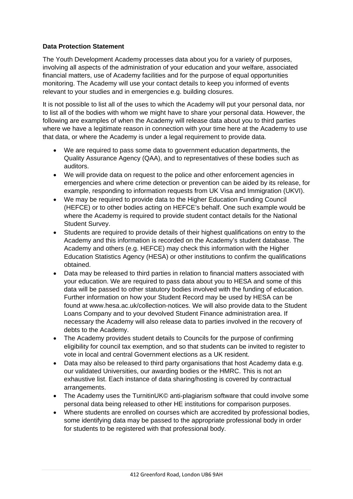## **Data Protection Statement**

The Youth Development Academy processes data about you for a variety of purposes, involving all aspects of the administration of your education and your welfare, associated financial matters, use of Academy facilities and for the purpose of equal opportunities monitoring. The Academy will use your contact details to keep you informed of events relevant to your studies and in emergencies e.g. building closures.

It is not possible to list all of the uses to which the Academy will put your personal data, nor to list all of the bodies with whom we might have to share your personal data. However, the following are examples of when the Academy will release data about you to third parties where we have a legitimate reason in connection with your time here at the Academy to use that data, or where the Academy is under a legal requirement to provide data.

- We are required to pass some data to government education departments, the Quality Assurance Agency (QAA), and to representatives of these bodies such as auditors.
- We will provide data on request to the police and other enforcement agencies in emergencies and where crime detection or prevention can be aided by its release, for example, responding to information requests from UK Visa and Immigration (UKVI).
- We may be required to provide data to the Higher Education Funding Council (HEFCE) or to other bodies acting on HEFCE's behalf. One such example would be where the Academy is required to provide student contact details for the National Student Survey.
- Students are required to provide details of their highest qualifications on entry to the Academy and this information is recorded on the Academy's student database. The Academy and others (e.g. HEFCE) may check this information with the Higher Education Statistics Agency (HESA) or other institutions to confirm the qualifications obtained.
- Data may be released to third parties in relation to financial matters associated with your education. We are required to pass data about you to HESA and some of this data will be passed to other statutory bodies involved with the funding of education. Further information on how your Student Record may be used by HESA can be found at www.hesa.ac.uk/collection-notices. We will also provide data to the Student Loans Company and to your devolved Student Finance administration area. If necessary the Academy will also release data to parties involved in the recovery of debts to the Academy.
- The Academy provides student details to Councils for the purpose of confirming eligibility for council tax exemption, and so that students can be invited to register to vote in local and central Government elections as a UK resident.
- Data may also be released to third party organisations that host Academy data e.g. our validated Universities, our awarding bodies or the HMRC. This is not an exhaustive list. Each instance of data sharing/hosting is covered by contractual arrangements.
- The Academy uses the TurnitinUK© anti-plagiarism software that could involve some personal data being released to other HE institutions for comparison purposes.
- Where students are enrolled on courses which are accredited by professional bodies, some identifying data may be passed to the appropriate professional body in order for students to be registered with that professional body.